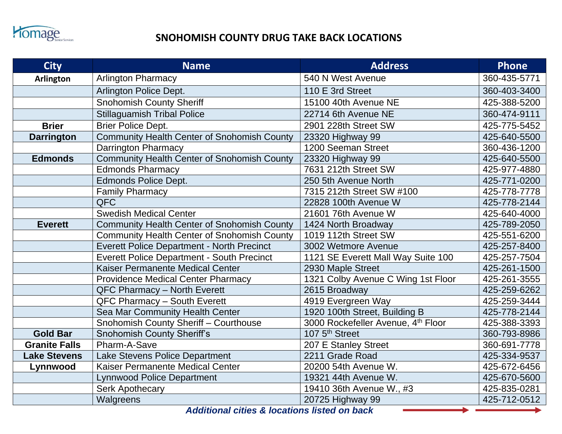

## **Fromage** SNOHOMISH COUNTY DRUG TAKE BACK LOCATIONS

| <b>City</b>          | <b>Name</b>                                                       | <b>Address</b>                     | <b>Phone</b> |
|----------------------|-------------------------------------------------------------------|------------------------------------|--------------|
| <b>Arlington</b>     | <b>Arlington Pharmacy</b>                                         | 540 N West Avenue                  | 360-435-5771 |
|                      | Arlington Police Dept.                                            | 110 E 3rd Street                   | 360-403-3400 |
|                      | Snohomish County Sheriff                                          | 15100 40th Avenue NE               | 425-388-5200 |
|                      | <b>Stillaguamish Tribal Police</b>                                | 22714 6th Avenue NE                | 360-474-9111 |
| <b>Brier</b>         | <b>Brier Police Dept.</b>                                         | 2901 228th Street SW               | 425-775-5452 |
| <b>Darrington</b>    | <b>Community Health Center of Snohomish County</b>                | 23320 Highway 99                   | 425-640-5500 |
|                      | <b>Darrington Pharmacy</b>                                        | 1200 Seeman Street                 | 360-436-1200 |
| <b>Edmonds</b>       | <b>Community Health Center of Snohomish County</b>                | 23320 Highway 99                   | 425-640-5500 |
|                      | <b>Edmonds Pharmacy</b>                                           | 7631 212th Street SW               | 425-977-4880 |
|                      | <b>Edmonds Police Dept.</b>                                       | 250 5th Avenue North               | 425-771-0200 |
|                      | <b>Family Pharmacy</b>                                            | 7315 212th Street SW #100          | 425-778-7778 |
|                      | <b>QFC</b>                                                        | 22828 100th Avenue W               | 425-778-2144 |
|                      | <b>Swedish Medical Center</b>                                     | 21601 76th Avenue W                | 425-640-4000 |
| <b>Everett</b>       | <b>Community Health Center of Snohomish County</b>                | 1424 North Broadway                | 425-789-2050 |
|                      | <b>Community Health Center of Snohomish County</b>                | 1019 112th Street SW               | 425-551-6200 |
|                      | <b>Everett Police Department - North Precinct</b>                 | 3002 Wetmore Avenue                | 425-257-8400 |
|                      | <b>Everett Police Department - South Precinct</b>                 | 1121 SE Everett Mall Way Suite 100 | 425-257-7504 |
|                      | Kaiser Permanente Medical Center                                  | 2930 Maple Street                  | 425-261-1500 |
|                      | Providence Medical Center Pharmacy                                | 1321 Colby Avenue C Wing 1st Floor | 425-261-3555 |
|                      | QFC Pharmacy - North Everett                                      | 2615 Broadway                      | 425-259-6262 |
|                      | QFC Pharmacy - South Everett                                      | 4919 Evergreen Way                 | 425-259-3444 |
|                      | Sea Mar Community Health Center                                   | 1920 100th Street, Building B      | 425-778-2144 |
|                      | Snohomish County Sheriff - Courthouse                             | 3000 Rockefeller Avenue, 4th Floor | 425-388-3393 |
| <b>Gold Bar</b>      | <b>Snohomish County Sheriff's</b>                                 | 107 5 <sup>th</sup> Street         | 360-793-8986 |
| <b>Granite Falls</b> | Pharm-A-Save                                                      | 207 E Stanley Street               | 360-691-7778 |
| <b>Lake Stevens</b>  | Lake Stevens Police Department                                    | 2211 Grade Road                    | 425-334-9537 |
| Lynnwood             | Kaiser Permanente Medical Center                                  | 20200 54th Avenue W.               | 425-672-6456 |
|                      | <b>Lynnwood Police Department</b>                                 | 19321 44th Avenue W.               | 425-670-5600 |
|                      | <b>Serk Apothecary</b>                                            | 19410 36th Avenue W., #3           | 425-835-0281 |
|                      | Walgreens<br>Additional states Others developed the college bands | 20725 Highway 99                   | 425-712-0512 |